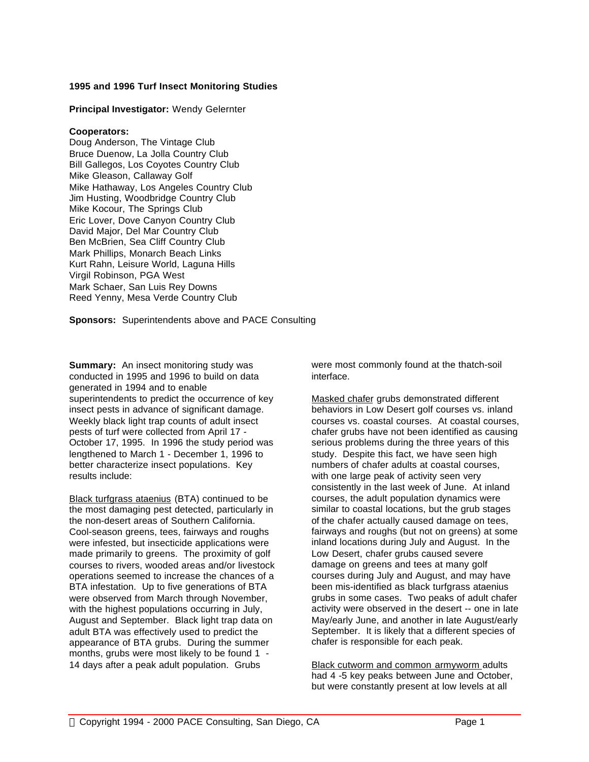## **1995 and 1996 Turf Insect Monitoring Studies**

### **Principal Investigator:** Wendy Gelernter

#### **Cooperators:**

Doug Anderson, The Vintage Club Bruce Duenow, La Jolla Country Club Bill Gallegos, Los Coyotes Country Club Mike Gleason, Callaway Golf Mike Hathaway, Los Angeles Country Club Jim Husting, Woodbridge Country Club Mike Kocour, The Springs Club Eric Lover, Dove Canyon Country Club David Major, Del Mar Country Club Ben McBrien, Sea Cliff Country Club Mark Phillips, Monarch Beach Links Kurt Rahn, Leisure World, Laguna Hills Virgil Robinson, PGA West Mark Schaer, San Luis Rey Downs Reed Yenny, Mesa Verde Country Club

**Sponsors:** Superintendents above and PACE Consulting

**Summary:** An insect monitoring study was conducted in 1995 and 1996 to build on data generated in 1994 and to enable superintendents to predict the occurrence of key insect pests in advance of significant damage. Weekly black light trap counts of adult insect pests of turf were collected from April 17 - October 17, 1995. In 1996 the study period was lengthened to March 1 - December 1, 1996 to better characterize insect populations. Key results include:

Black turfgrass ataenius (BTA) continued to be the most damaging pest detected, particularly in the non-desert areas of Southern California. Cool-season greens, tees, fairways and roughs were infested, but insecticide applications were made primarily to greens. The proximity of golf courses to rivers, wooded areas and/or livestock operations seemed to increase the chances of a BTA infestation. Up to five generations of BTA were observed from March through November, with the highest populations occurring in July, August and September. Black light trap data on adult BTA was effectively used to predict the appearance of BTA grubs. During the summer months, grubs were most likely to be found 1 - 14 days after a peak adult population. Grubs

were most commonly found at the thatch-soil interface.

Masked chafer grubs demonstrated different behaviors in Low Desert golf courses vs. inland courses vs. coastal courses. At coastal courses, chafer grubs have not been identified as causing serious problems during the three years of this study. Despite this fact, we have seen high numbers of chafer adults at coastal courses, with one large peak of activity seen very consistently in the last week of June. At inland courses, the adult population dynamics were similar to coastal locations, but the grub stages of the chafer actually caused damage on tees, fairways and roughs (but not on greens) at some inland locations during July and August. In the Low Desert, chafer grubs caused severe damage on greens and tees at many golf courses during July and August, and may have been mis-identified as black turfgrass ataenius grubs in some cases. Two peaks of adult chafer activity were observed in the desert -- one in late May/early June, and another in late August/early September. It is likely that a different species of chafer is responsible for each peak.

Black cutworm and common armyworm adults had 4 -5 key peaks between June and October, but were constantly present at low levels at all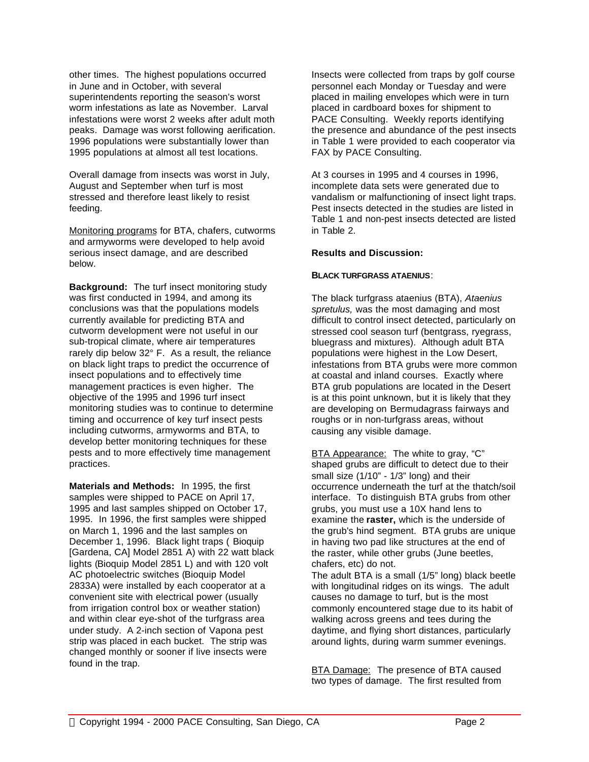other times. The highest populations occurred in June and in October, with several superintendents reporting the season's worst worm infestations as late as November. Larval infestations were worst 2 weeks after adult moth peaks. Damage was worst following aerification. 1996 populations were substantially lower than 1995 populations at almost all test locations.

Overall damage from insects was worst in July, August and September when turf is most stressed and therefore least likely to resist feeding.

Monitoring programs for BTA, chafers, cutworms and armyworms were developed to help avoid serious insect damage, and are described below.

**Background:** The turf insect monitoring study was first conducted in 1994, and among its conclusions was that the populations models currently available for predicting BTA and cutworm development were not useful in our sub-tropical climate, where air temperatures rarely dip below 32° F. As a result, the reliance on black light traps to predict the occurrence of insect populations and to effectively time management practices is even higher. The objective of the 1995 and 1996 turf insect monitoring studies was to continue to determine timing and occurrence of key turf insect pests including cutworms, armyworms and BTA, to develop better monitoring techniques for these pests and to more effectively time management practices.

**Materials and Methods:** In 1995, the first samples were shipped to PACE on April 17, 1995 and last samples shipped on October 17, 1995. In 1996, the first samples were shipped on March 1, 1996 and the last samples on December 1, 1996. Black light traps ( Bioquip [Gardena, CA] Model 2851 A) with 22 watt black lights (Bioquip Model 2851 L) and with 120 volt AC photoelectric switches (Bioquip Model 2833A) were installed by each cooperator at a convenient site with electrical power (usually from irrigation control box or weather station) and within clear eye-shot of the turfgrass area under study. A 2-inch section of Vapona pest strip was placed in each bucket. The strip was changed monthly or sooner if live insects were found in the trap.

Insects were collected from traps by golf course personnel each Monday or Tuesday and were placed in mailing envelopes which were in turn placed in cardboard boxes for shipment to PACE Consulting. Weekly reports identifying the presence and abundance of the pest insects in Table 1 were provided to each cooperator via FAX by PACE Consulting.

At 3 courses in 1995 and 4 courses in 1996, incomplete data sets were generated due to vandalism or malfunctioning of insect light traps. Pest insects detected in the studies are listed in Table 1 and non-pest insects detected are listed in Table 2.

## **Results and Discussion:**

# **BLACK TURFGRASS ATAENIUS**:

The black turfgrass ataenius (BTA), *Ataenius spretulus,* was the most damaging and most difficult to control insect detected, particularly on stressed cool season turf (bentgrass, ryegrass, bluegrass and mixtures). Although adult BTA populations were highest in the Low Desert, infestations from BTA grubs were more common at coastal and inland courses. Exactly where BTA grub populations are located in the Desert is at this point unknown, but it is likely that they are developing on Bermudagrass fairways and roughs or in non-turfgrass areas, without causing any visible damage.

BTA Appearance: The white to gray, "C" shaped grubs are difficult to detect due to their small size (1/10" - 1/3" long) and their occurrence underneath the turf at the thatch/soil interface. To distinguish BTA grubs from other grubs, you must use a 10X hand lens to examine the **raster,** which is the underside of the grub's hind segment. BTA grubs are unique in having two pad like structures at the end of the raster, while other grubs (June beetles, chafers, etc) do not.

The adult BTA is a small (1/5" long) black beetle with longitudinal ridges on its wings. The adult causes no damage to turf, but is the most commonly encountered stage due to its habit of walking across greens and tees during the daytime, and flying short distances, particularly around lights, during warm summer evenings.

BTA Damage: The presence of BTA caused two types of damage. The first resulted from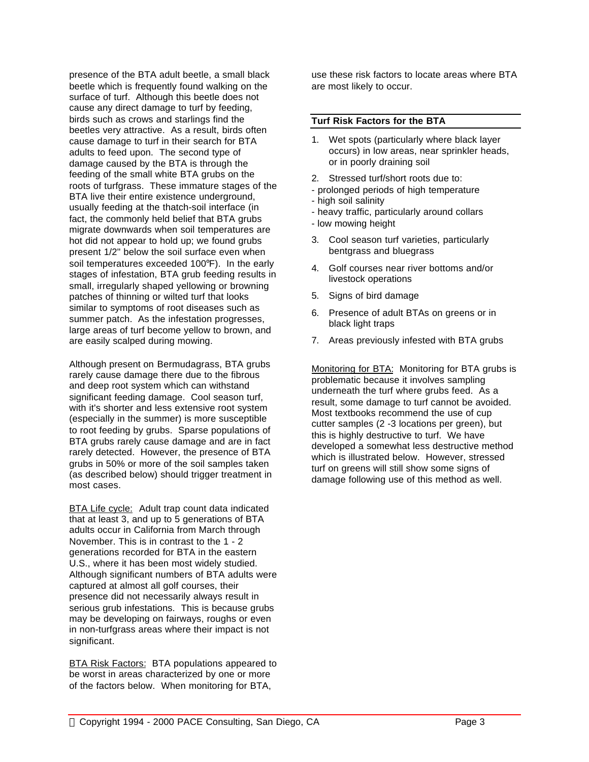presence of the BTA adult beetle, a small black beetle which is frequently found walking on the surface of turf. Although this beetle does not cause any direct damage to turf by feeding, birds such as crows and starlings find the beetles very attractive. As a result, birds often cause damage to turf in their search for BTA adults to feed upon. The second type of damage caused by the BTA is through the feeding of the small white BTA grubs on the roots of turfgrass. These immature stages of the BTA live their entire existence underground, usually feeding at the thatch-soil interface (in fact, the commonly held belief that BTA grubs migrate downwards when soil temperatures are hot did not appear to hold up; we found grubs present 1/2" below the soil surface even when soil temperatures exceeded 100°F). In the early stages of infestation, BTA grub feeding results in small, irregularly shaped yellowing or browning patches of thinning or wilted turf that looks similar to symptoms of root diseases such as summer patch. As the infestation progresses, large areas of turf become yellow to brown, and are easily scalped during mowing.

Although present on Bermudagrass, BTA grubs rarely cause damage there due to the fibrous and deep root system which can withstand significant feeding damage. Cool season turf, with it's shorter and less extensive root system (especially in the summer) is more susceptible to root feeding by grubs. Sparse populations of BTA grubs rarely cause damage and are in fact rarely detected. However, the presence of BTA grubs in 50% or more of the soil samples taken (as described below) should trigger treatment in most cases.

BTA Life cycle: Adult trap count data indicated that at least 3, and up to 5 generations of BTA adults occur in California from March through November. This is in contrast to the 1 - 2 generations recorded for BTA in the eastern U.S., where it has been most widely studied. Although significant numbers of BTA adults were captured at almost all golf courses, their presence did not necessarily always result in serious grub infestations. This is because grubs may be developing on fairways, roughs or even in non-turfgrass areas where their impact is not significant.

BTA Risk Factors: BTA populations appeared to be worst in areas characterized by one or more of the factors below. When monitoring for BTA,

use these risk factors to locate areas where BTA are most likely to occur.

#### **Turf Risk Factors for the BTA**

- 1. Wet spots (particularly where black layer occurs) in low areas, near sprinkler heads, or in poorly draining soil
- 2. Stressed turf/short roots due to:
- prolonged periods of high temperature
- high soil salinity
- heavy traffic, particularly around collars
- low mowing height
- 3. Cool season turf varieties, particularly bentgrass and bluegrass
- 4. Golf courses near river bottoms and/or livestock operations
- 5. Signs of bird damage
- 6. Presence of adult BTAs on greens or in black light traps
- 7. Areas previously infested with BTA grubs

Monitoring for BTA: Monitoring for BTA grubs is problematic because it involves sampling underneath the turf where grubs feed. As a result, some damage to turf cannot be avoided. Most textbooks recommend the use of cup cutter samples (2 -3 locations per green), but this is highly destructive to turf. We have developed a somewhat less destructive method which is illustrated below. However, stressed turf on greens will still show some signs of damage following use of this method as well.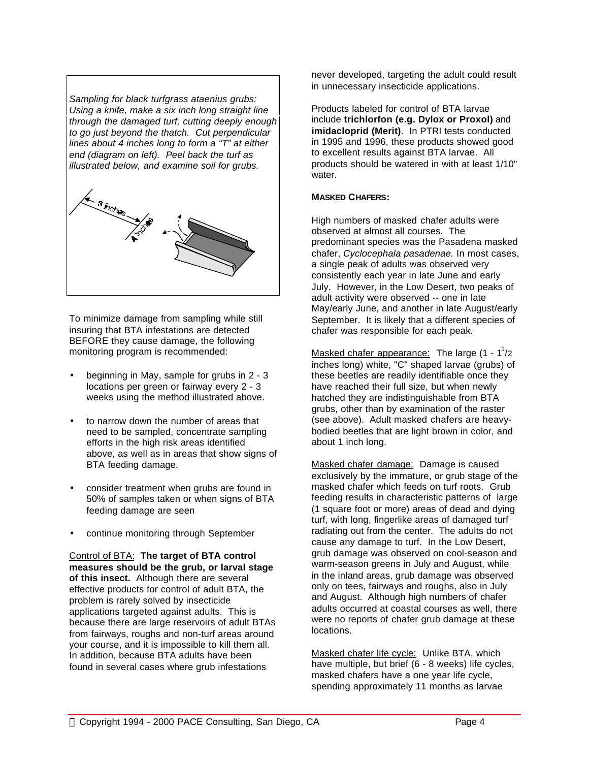*Sampling for black turfgrass ataenius grubs: Using a knife, make a six inch long straight line through the damaged turf, cutting deeply enough to go just beyond the thatch. Cut perpendicular lines about 4 inches long to form a "T" at either end (diagram on left). Peel back the turf as illustrated below, and examine soil for grubs.*



To minimize damage from sampling while still insuring that BTA infestations are detected BEFORE they cause damage, the following monitoring program is recommended:

- beginning in May, sample for grubs in 2 3 locations per green or fairway every 2 - 3 weeks using the method illustrated above.
- to narrow down the number of areas that need to be sampled, concentrate sampling efforts in the high risk areas identified above, as well as in areas that show signs of BTA feeding damage.
- consider treatment when grubs are found in 50% of samples taken or when signs of BTA feeding damage are seen
- continue monitoring through September

Control of BTA: **The target of BTA control measures should be the grub, or larval stage of this insect.** Although there are several effective products for control of adult BTA, the problem is rarely solved by insecticide applications targeted against adults. This is because there are large reservoirs of adult BTAs from fairways, roughs and non-turf areas around your course, and it is impossible to kill them all. In addition, because BTA adults have been found in several cases where grub infestations

never developed, targeting the adult could result in unnecessary insecticide applications.

Products labeled for control of BTA larvae include **trichlorfon (e.g. Dylox or Proxol)** and **imidacloprid (Merit)**. In PTRI tests conducted in 1995 and 1996, these products showed good to excellent results against BTA larvae. All products should be watered in with at least 1/10" water.

# **MASKED CHAFERS:**

High numbers of masked chafer adults were observed at almost all courses. The predominant species was the Pasadena masked chafer, *Cyclocephala pasadenae.* In most cases, a single peak of adults was observed very consistently each year in late June and early July. However, in the Low Desert, two peaks of adult activity were observed -- one in late May/early June, and another in late August/early September. It is likely that a different species of chafer was responsible for each peak.

Masked chafer appearance: The large (1 - 1<sup>1</sup>/2 inches long) white, "C" shaped larvae (grubs) of these beetles are readily identifiable once they have reached their full size, but when newly hatched they are indistinguishable from BTA grubs, other than by examination of the raster (see above). Adult masked chafers are heavybodied beetles that are light brown in color, and about 1 inch long.

Masked chafer damage: Damage is caused exclusively by the immature, or grub stage of the masked chafer which feeds on turf roots. Grub feeding results in characteristic patterns of large (1 square foot or more) areas of dead and dying turf, with long, fingerlike areas of damaged turf radiating out from the center. The adults do not cause any damage to turf. In the Low Desert, grub damage was observed on cool-season and warm-season greens in July and August, while in the inland areas, grub damage was observed only on tees, fairways and roughs, also in July and August. Although high numbers of chafer adults occurred at coastal courses as well, there were no reports of chafer grub damage at these locations.

Masked chafer life cycle: Unlike BTA, which have multiple, but brief (6 - 8 weeks) life cycles, masked chafers have a one year life cycle, spending approximately 11 months as larvae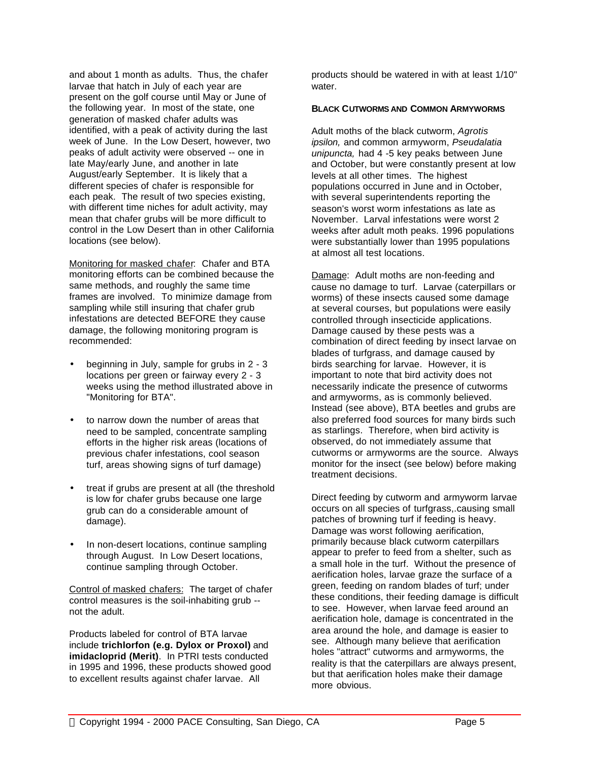and about 1 month as adults. Thus, the chafer larvae that hatch in July of each year are present on the golf course until May or June of the following year. In most of the state, one generation of masked chafer adults was identified, with a peak of activity during the last week of June. In the Low Desert, however, two peaks of adult activity were observed -- one in late May/early June, and another in late August/early September. It is likely that a different species of chafer is responsible for each peak. The result of two species existing, with different time niches for adult activity, may mean that chafer grubs will be more difficult to control in the Low Desert than in other California locations (see below).

Monitoring for masked chafer: Chafer and BTA monitoring efforts can be combined because the same methods, and roughly the same time frames are involved. To minimize damage from sampling while still insuring that chafer grub infestations are detected BEFORE they cause damage, the following monitoring program is recommended:

- beginning in July, sample for grubs in 2 3 locations per green or fairway every 2 - 3 weeks using the method illustrated above in "Monitoring for BTA".
- to narrow down the number of areas that need to be sampled, concentrate sampling efforts in the higher risk areas (locations of previous chafer infestations, cool season turf, areas showing signs of turf damage)
- treat if grubs are present at all (the threshold is low for chafer grubs because one large grub can do a considerable amount of damage).
- In non-desert locations, continue sampling through August. In Low Desert locations, continue sampling through October.

Control of masked chafers: The target of chafer control measures is the soil-inhabiting grub - not the adult.

Products labeled for control of BTA larvae include **trichlorfon (e.g. Dylox or Proxol)** and **imidacloprid (Merit)**. In PTRI tests conducted in 1995 and 1996, these products showed good to excellent results against chafer larvae. All

products should be watered in with at least 1/10" water.

### **BLACK CUTWORMS AND COMMON ARMYWORMS**

Adult moths of the black cutworm, *Agrotis ipsilon,* and common armyworm, *Pseudalatia unipuncta,* had 4 -5 key peaks between June and October, but were constantly present at low levels at all other times. The highest populations occurred in June and in October, with several superintendents reporting the season's worst worm infestations as late as November. Larval infestations were worst 2 weeks after adult moth peaks. 1996 populations were substantially lower than 1995 populations at almost all test locations.

Damage: Adult moths are non-feeding and cause no damage to turf. Larvae (caterpillars or worms) of these insects caused some damage at several courses, but populations were easily controlled through insecticide applications. Damage caused by these pests was a combination of direct feeding by insect larvae on blades of turfgrass, and damage caused by birds searching for larvae. However, it is important to note that bird activity does not necessarily indicate the presence of cutworms and armyworms, as is commonly believed. Instead (see above), BTA beetles and grubs are also preferred food sources for many birds such as starlings. Therefore, when bird activity is observed, do not immediately assume that cutworms or armyworms are the source. Always monitor for the insect (see below) before making treatment decisions.

Direct feeding by cutworm and armyworm larvae occurs on all species of turfgrass,.causing small patches of browning turf if feeding is heavy. Damage was worst following aerification, primarily because black cutworm caterpillars appear to prefer to feed from a shelter, such as a small hole in the turf. Without the presence of aerification holes, larvae graze the surface of a green, feeding on random blades of turf; under these conditions, their feeding damage is difficult to see. However, when larvae feed around an aerification hole, damage is concentrated in the area around the hole, and damage is easier to see. Although many believe that aerification holes "attract" cutworms and armyworms, the reality is that the caterpillars are always present, but that aerification holes make their damage more obvious.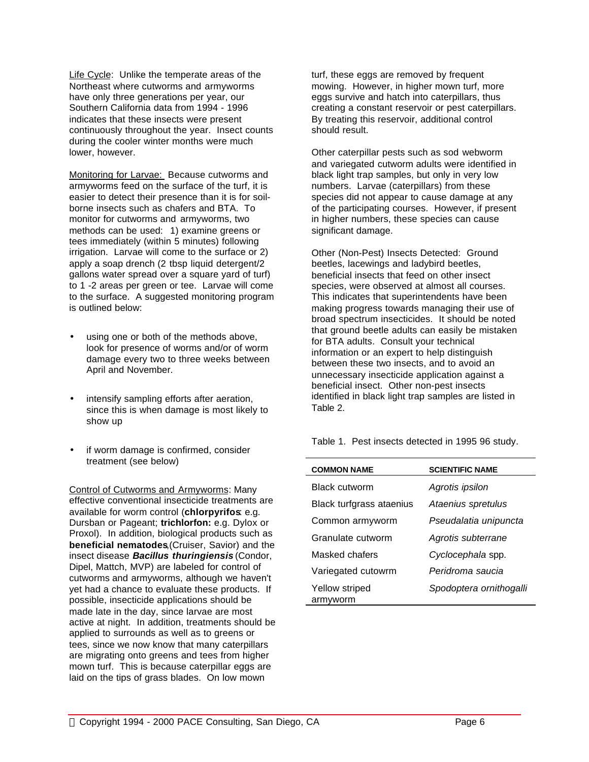Life Cycle: Unlike the temperate areas of the Northeast where cutworms and armyworms have only three generations per year, our Southern California data from 1994 - 1996 indicates that these insects were present continuously throughout the year. Insect counts during the cooler winter months were much lower, however.

Monitoring for Larvae: Because cutworms and armyworms feed on the surface of the turf, it is easier to detect their presence than it is for soilborne insects such as chafers and BTA. To monitor for cutworms and armyworms, two methods can be used: 1) examine greens or tees immediately (within 5 minutes) following irrigation. Larvae will come to the surface or 2) apply a soap drench (2 tbsp liquid detergent/2 gallons water spread over a square yard of turf) to 1 -2 areas per green or tee. Larvae will come to the surface. A suggested monitoring program is outlined below:

- using one or both of the methods above, look for presence of worms and/or of worm damage every two to three weeks between April and November.
- intensify sampling efforts after aeration. since this is when damage is most likely to show up
- if worm damage is confirmed, consider treatment (see below)

Control of Cutworms and Armyworms: Many effective conventional insecticide treatments are available for worm control (**chlorpyrifos**: e.g. Dursban or Pageant; **trichlorfon:** e.g. Dylox or Proxol). In addition, biological products such as **beneficial nematodes**,(Cruiser, Savior) and the insect disease *Bacillus thuringiensis* (Condor, Dipel, Mattch, MVP) are labeled for control of cutworms and armyworms, although we haven't yet had a chance to evaluate these products. If possible, insecticide applications should be made late in the day, since larvae are most active at night. In addition, treatments should be applied to surrounds as well as to greens or tees, since we now know that many caterpillars are migrating onto greens and tees from higher mown turf. This is because caterpillar eggs are laid on the tips of grass blades. On low mown

turf, these eggs are removed by frequent mowing. However, in higher mown turf, more eggs survive and hatch into caterpillars, thus creating a constant reservoir or pest caterpillars. By treating this reservoir, additional control should result.

Other caterpillar pests such as sod webworm and variegated cutworm adults were identified in black light trap samples, but only in very low numbers. Larvae (caterpillars) from these species did not appear to cause damage at any of the participating courses. However, if present in higher numbers, these species can cause significant damage.

Other (Non-Pest) Insects Detected: Ground beetles, lacewings and ladybird beetles, beneficial insects that feed on other insect species, were observed at almost all courses. This indicates that superintendents have been making progress towards managing their use of broad spectrum insecticides. It should be noted that ground beetle adults can easily be mistaken for BTA adults. Consult your technical information or an expert to help distinguish between these two insects, and to avoid an unnecessary insecticide application against a beneficial insect. Other non-pest insects identified in black light trap samples are listed in Table 2.

Table 1. Pest insects detected in 1995 96 study.

| <b>COMMON NAME</b>         | <b>SCIENTIFIC NAME</b>  |
|----------------------------|-------------------------|
| Black cutworm              | Agrotis ipsilon         |
| Black turfgrass ataenius   | Ataenius spretulus      |
| Common armyworm            | Pseudalatia unipuncta   |
| Granulate cutworm          | Agrotis subterrane      |
| Masked chafers             | Cyclocephala spp.       |
| Variegated cutowrm         | Peridroma saucia        |
| Yellow striped<br>armyworm | Spodoptera ornithogalli |